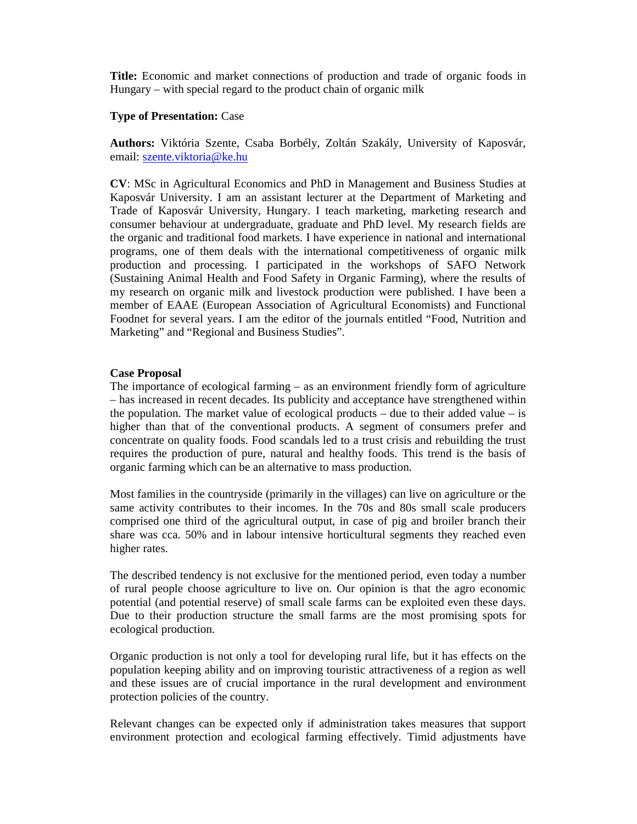**Title:** Economic and market connections of production and trade of organic foods in Hungary – with special regard to the product chain of organic milk

## **Type of Presentation:** Case

**Authors:** Viktória Szente, Csaba Borbély, Zoltán Szakály, University of Kaposvár, email: szente.viktoria@ke.hu

**CV**: MSc in Agricultural Economics and PhD in Management and Business Studies at Kaposvár University. I am an assistant lecturer at the Department of Marketing and Trade of Kaposvár University, Hungary. I teach marketing, marketing research and consumer behaviour at undergraduate, graduate and PhD level. My research fields are the organic and traditional food markets. I have experience in national and international programs, one of them deals with the international competitiveness of organic milk production and processing. I participated in the workshops of SAFO Network (Sustaining Animal Health and Food Safety in Organic Farming), where the results of my research on organic milk and livestock production were published. I have been a member of EAAE (European Association of Agricultural Economists) and Functional Foodnet for several years. I am the editor of the journals entitled "Food, Nutrition and Marketing" and "Regional and Business Studies".

## **Case Proposal**

The importance of ecological farming – as an environment friendly form of agriculture – has increased in recent decades. Its publicity and acceptance have strengthened within the population. The market value of ecological products – due to their added value – is higher than that of the conventional products. A segment of consumers prefer and concentrate on quality foods. Food scandals led to a trust crisis and rebuilding the trust requires the production of pure, natural and healthy foods. This trend is the basis of organic farming which can be an alternative to mass production.

Most families in the countryside (primarily in the villages) can live on agriculture or the same activity contributes to their incomes. In the 70s and 80s small scale producers comprised one third of the agricultural output, in case of pig and broiler branch their share was cca. 50% and in labour intensive horticultural segments they reached even higher rates.

The described tendency is not exclusive for the mentioned period, even today a number of rural people choose agriculture to live on. Our opinion is that the agro economic potential (and potential reserve) of small scale farms can be exploited even these days. Due to their production structure the small farms are the most promising spots for ecological production.

Organic production is not only a tool for developing rural life, but it has effects on the population keeping ability and on improving touristic attractiveness of a region as well and these issues are of crucial importance in the rural development and environment protection policies of the country.

Relevant changes can be expected only if administration takes measures that support environment protection and ecological farming effectively. Timid adjustments have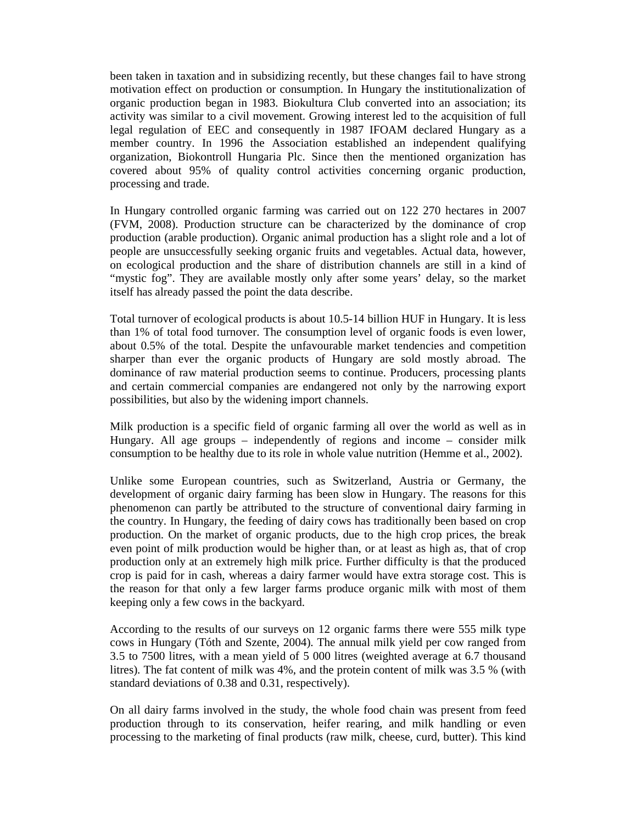been taken in taxation and in subsidizing recently, but these changes fail to have strong motivation effect on production or consumption. In Hungary the institutionalization of organic production began in 1983. Biokultura Club converted into an association; its activity was similar to a civil movement. Growing interest led to the acquisition of full legal regulation of EEC and consequently in 1987 IFOAM declared Hungary as a member country. In 1996 the Association established an independent qualifying organization, Biokontroll Hungaria Plc. Since then the mentioned organization has covered about 95% of quality control activities concerning organic production, processing and trade.

In Hungary controlled organic farming was carried out on 122 270 hectares in 2007 (FVM, 2008). Production structure can be characterized by the dominance of crop production (arable production). Organic animal production has a slight role and a lot of people are unsuccessfully seeking organic fruits and vegetables. Actual data, however, on ecological production and the share of distribution channels are still in a kind of "mystic fog". They are available mostly only after some years' delay, so the market itself has already passed the point the data describe.

Total turnover of ecological products is about 10.5-14 billion HUF in Hungary. It is less than 1% of total food turnover. The consumption level of organic foods is even lower, about 0.5% of the total. Despite the unfavourable market tendencies and competition sharper than ever the organic products of Hungary are sold mostly abroad. The dominance of raw material production seems to continue. Producers, processing plants and certain commercial companies are endangered not only by the narrowing export possibilities, but also by the widening import channels.

Milk production is a specific field of organic farming all over the world as well as in Hungary. All age groups – independently of regions and income – consider milk consumption to be healthy due to its role in whole value nutrition (Hemme et al., 2002).

Unlike some European countries, such as Switzerland, Austria or Germany, the development of organic dairy farming has been slow in Hungary. The reasons for this phenomenon can partly be attributed to the structure of conventional dairy farming in the country. In Hungary, the feeding of dairy cows has traditionally been based on crop production. On the market of organic products, due to the high crop prices, the break even point of milk production would be higher than, or at least as high as, that of crop production only at an extremely high milk price. Further difficulty is that the produced crop is paid for in cash, whereas a dairy farmer would have extra storage cost. This is the reason for that only a few larger farms produce organic milk with most of them keeping only a few cows in the backyard.

According to the results of our surveys on 12 organic farms there were 555 milk type cows in Hungary (Tóth and Szente, 2004). The annual milk yield per cow ranged from 3.5 to 7500 litres, with a mean yield of 5 000 litres (weighted average at 6.7 thousand litres). The fat content of milk was 4%, and the protein content of milk was 3.5 % (with standard deviations of 0.38 and 0.31, respectively).

On all dairy farms involved in the study, the whole food chain was present from feed production through to its conservation, heifer rearing, and milk handling or even processing to the marketing of final products (raw milk, cheese, curd, butter). This kind